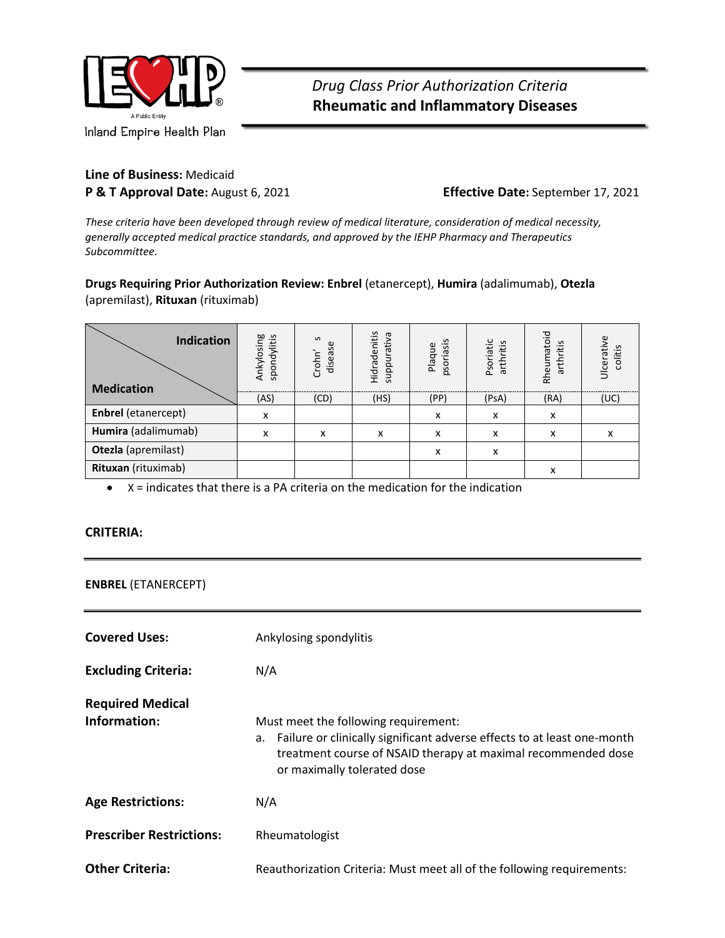

**Line of Business:** Medicaid **P & T Approval Date:** August 6, 2021 **Effective Date:** September 17, 2021

*These criteria have been developed through review of medical literature, consideration of medical necessity, generally accepted medical practice standards, and approved by the IEHP Pharmacy and Therapeutics Subcommittee.*

**Drugs Requiring Prior Authorization Review: Enbrel** (etanercept), **Humira** (adalimumab), **Otezla** (apremilast), **Rituxan** (rituximab)

| <b>Indication</b><br><b>Medication</b> | Ankylosing<br>spondylitis | $\mathbf{v}$<br>¢<br>Crohn'<br>disease | Hidradenitis<br>suppurativa | psoriasis<br>Plaque | Psoriatic<br>arthritis | Rheumatoid<br>arthritis | Ulcerative<br>litis<br>రై |
|----------------------------------------|---------------------------|----------------------------------------|-----------------------------|---------------------|------------------------|-------------------------|---------------------------|
|                                        | (AS)                      | (CD)                                   | (HS)                        | (PP)                | (PsA)                  | (RA)                    | (UC)                      |
| <b>Enbrel</b> (etanercept)             | x                         |                                        |                             | x                   | x                      | x                       |                           |
| Humira (adalimumab)                    | x                         | x                                      | x                           | x                   | x                      | x                       | x                         |
| Otezla (apremilast)                    |                           |                                        |                             | x                   | x                      |                         |                           |
| Rituxan (rituximab)                    |                           |                                        |                             |                     |                        | x                       |                           |

• X = indicates that there is a PA criteria on the medication for the indication

#### **CRITERIA:**

**ENBREL** (ETANERCEPT)

| <b>Covered Uses:</b>                    | Ankylosing spondylitis                                                                                                                                                                                             |  |
|-----------------------------------------|--------------------------------------------------------------------------------------------------------------------------------------------------------------------------------------------------------------------|--|
| <b>Excluding Criteria:</b>              | N/A                                                                                                                                                                                                                |  |
| <b>Required Medical</b><br>Information: | Must meet the following requirement:<br>a. Failure or clinically significant adverse effects to at least one-month<br>treatment course of NSAID therapy at maximal recommended dose<br>or maximally tolerated dose |  |
| <b>Age Restrictions:</b>                | N/A                                                                                                                                                                                                                |  |
| <b>Prescriber Restrictions:</b>         | Rheumatologist                                                                                                                                                                                                     |  |
| <b>Other Criteria:</b>                  | Reauthorization Criteria: Must meet all of the following requirements:                                                                                                                                             |  |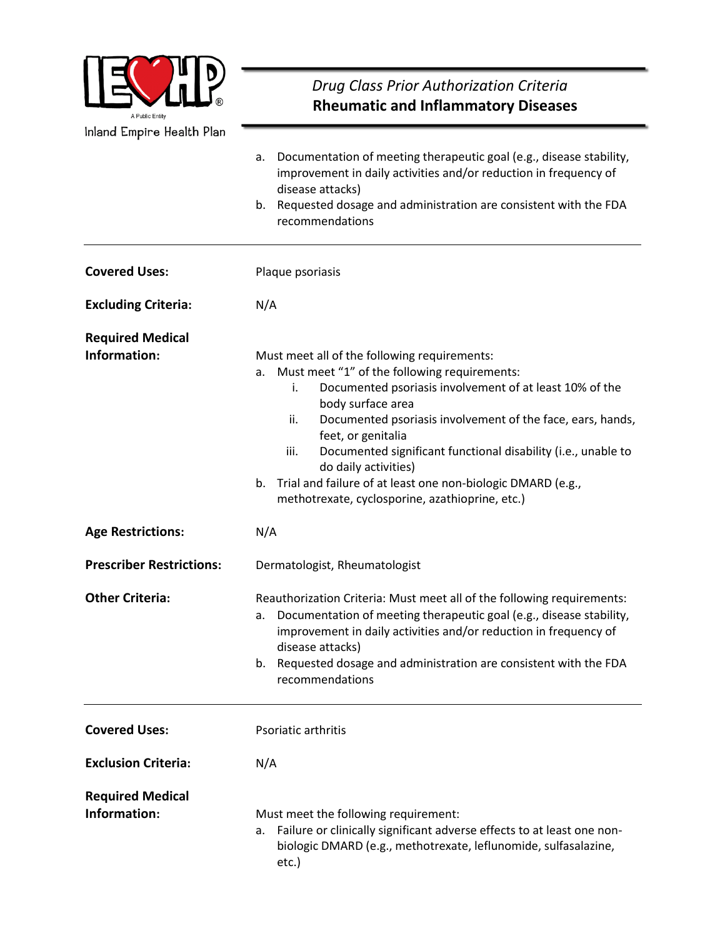

# *Drug Class Prior Authorization Criteria*  **Rheumatic and Inflammatory Diseases**

|                                         | Documentation of meeting therapeutic goal (e.g., disease stability,<br>а.<br>improvement in daily activities and/or reduction in frequency of<br>disease attacks)<br>b. Requested dosage and administration are consistent with the FDA<br>recommendations                                                                                                                                                                                                                                                |  |  |
|-----------------------------------------|-----------------------------------------------------------------------------------------------------------------------------------------------------------------------------------------------------------------------------------------------------------------------------------------------------------------------------------------------------------------------------------------------------------------------------------------------------------------------------------------------------------|--|--|
| <b>Covered Uses:</b>                    | Plaque psoriasis                                                                                                                                                                                                                                                                                                                                                                                                                                                                                          |  |  |
| <b>Excluding Criteria:</b>              | N/A                                                                                                                                                                                                                                                                                                                                                                                                                                                                                                       |  |  |
| <b>Required Medical</b><br>Information: | Must meet all of the following requirements:<br>Must meet "1" of the following requirements:<br>a.<br>Documented psoriasis involvement of at least 10% of the<br>i.<br>body surface area<br>ii.<br>Documented psoriasis involvement of the face, ears, hands,<br>feet, or genitalia<br>Documented significant functional disability (i.e., unable to<br>iii.<br>do daily activities)<br>b. Trial and failure of at least one non-biologic DMARD (e.g.,<br>methotrexate, cyclosporine, azathioprine, etc.) |  |  |
| <b>Age Restrictions:</b>                | N/A                                                                                                                                                                                                                                                                                                                                                                                                                                                                                                       |  |  |
| <b>Prescriber Restrictions:</b>         | Dermatologist, Rheumatologist                                                                                                                                                                                                                                                                                                                                                                                                                                                                             |  |  |
| <b>Other Criteria:</b>                  | Reauthorization Criteria: Must meet all of the following requirements:<br>Documentation of meeting therapeutic goal (e.g., disease stability,<br>a.<br>improvement in daily activities and/or reduction in frequency of<br>disease attacks)<br>b. Requested dosage and administration are consistent with the FDA<br>recommendations                                                                                                                                                                      |  |  |
| <b>Covered Uses:</b>                    | Psoriatic arthritis                                                                                                                                                                                                                                                                                                                                                                                                                                                                                       |  |  |
| <b>Exclusion Criteria:</b>              | N/A                                                                                                                                                                                                                                                                                                                                                                                                                                                                                                       |  |  |
| <b>Required Medical</b><br>Information: | Must meet the following requirement:<br>Failure or clinically significant adverse effects to at least one non-<br>a.<br>biologic DMARD (e.g., methotrexate, leflunomide, sulfasalazine,<br>etc.)                                                                                                                                                                                                                                                                                                          |  |  |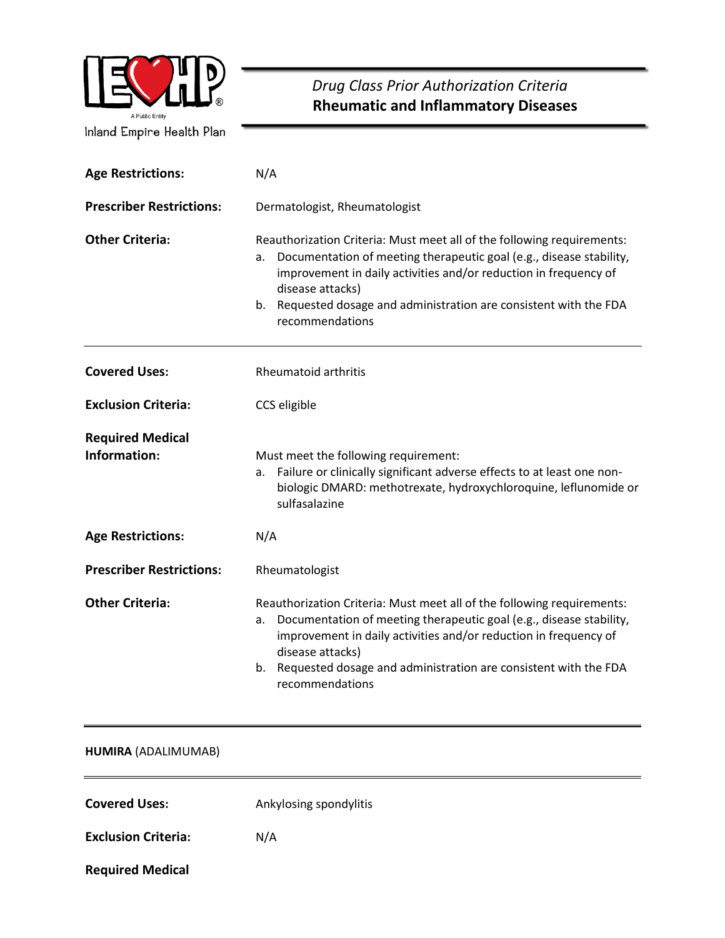

# *Drug Class Prior Authorization Criteria* **Rheumatic and Inflammatory Diseases**

| <b>Age Restrictions:</b>                | N/A                                                                                                                                                                                                                                                                                                                                     |  |  |
|-----------------------------------------|-----------------------------------------------------------------------------------------------------------------------------------------------------------------------------------------------------------------------------------------------------------------------------------------------------------------------------------------|--|--|
| <b>Prescriber Restrictions:</b>         | Dermatologist, Rheumatologist                                                                                                                                                                                                                                                                                                           |  |  |
| <b>Other Criteria:</b>                  | Reauthorization Criteria: Must meet all of the following requirements:<br>Documentation of meeting therapeutic goal (e.g., disease stability,<br>a.<br>improvement in daily activities and/or reduction in frequency of<br>disease attacks)<br>b. Requested dosage and administration are consistent with the FDA<br>recommendations    |  |  |
| <b>Covered Uses:</b>                    | <b>Rheumatoid arthritis</b>                                                                                                                                                                                                                                                                                                             |  |  |
| <b>Exclusion Criteria:</b>              | CCS eligible                                                                                                                                                                                                                                                                                                                            |  |  |
| <b>Required Medical</b><br>Information: | Must meet the following requirement:<br>Failure or clinically significant adverse effects to at least one non-<br>а.<br>biologic DMARD: methotrexate, hydroxychloroquine, leflunomide or<br>sulfasalazine                                                                                                                               |  |  |
| <b>Age Restrictions:</b>                | N/A                                                                                                                                                                                                                                                                                                                                     |  |  |
| <b>Prescriber Restrictions:</b>         | Rheumatologist                                                                                                                                                                                                                                                                                                                          |  |  |
| <b>Other Criteria:</b>                  | Reauthorization Criteria: Must meet all of the following requirements:<br>Documentation of meeting therapeutic goal (e.g., disease stability,<br>a.<br>improvement in daily activities and/or reduction in frequency of<br>disease attacks)<br>Requested dosage and administration are consistent with the FDA<br>b.<br>recommendations |  |  |

#### **HUMIRA** (ADALIMUMAB)

**Covered Uses:** Ankylosing spondylitis

**Exclusion Criteria:** N/A

**Required Medical**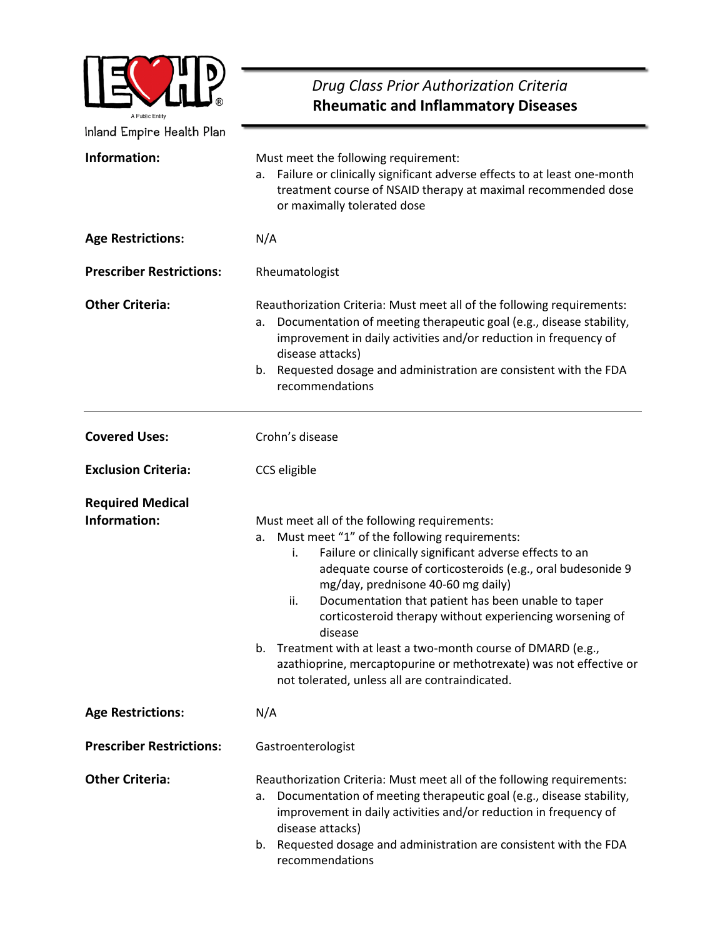| A Public Entity                         | Drug Class Prior Authorization Criteria<br><b>Rheumatic and Inflammatory Diseases</b>                                                                                                                                                                                                                                                                                                                                                                                                                                                                                                                     |  |  |
|-----------------------------------------|-----------------------------------------------------------------------------------------------------------------------------------------------------------------------------------------------------------------------------------------------------------------------------------------------------------------------------------------------------------------------------------------------------------------------------------------------------------------------------------------------------------------------------------------------------------------------------------------------------------|--|--|
| Inland Empire Health Plan               |                                                                                                                                                                                                                                                                                                                                                                                                                                                                                                                                                                                                           |  |  |
| Information:                            | Must meet the following requirement:<br>Failure or clinically significant adverse effects to at least one-month<br>а.<br>treatment course of NSAID therapy at maximal recommended dose<br>or maximally tolerated dose                                                                                                                                                                                                                                                                                                                                                                                     |  |  |
| <b>Age Restrictions:</b>                | N/A                                                                                                                                                                                                                                                                                                                                                                                                                                                                                                                                                                                                       |  |  |
| <b>Prescriber Restrictions:</b>         | Rheumatologist                                                                                                                                                                                                                                                                                                                                                                                                                                                                                                                                                                                            |  |  |
| <b>Other Criteria:</b>                  | Reauthorization Criteria: Must meet all of the following requirements:<br>Documentation of meeting therapeutic goal (e.g., disease stability,<br>а.<br>improvement in daily activities and/or reduction in frequency of<br>disease attacks)<br>Requested dosage and administration are consistent with the FDA<br>b.<br>recommendations                                                                                                                                                                                                                                                                   |  |  |
| <b>Covered Uses:</b>                    | Crohn's disease                                                                                                                                                                                                                                                                                                                                                                                                                                                                                                                                                                                           |  |  |
| <b>Exclusion Criteria:</b>              | CCS eligible                                                                                                                                                                                                                                                                                                                                                                                                                                                                                                                                                                                              |  |  |
| <b>Required Medical</b><br>Information: | Must meet all of the following requirements:<br>Must meet "1" of the following requirements:<br>а.<br>Failure or clinically significant adverse effects to an<br>i.<br>adequate course of corticosteroids (e.g., oral budesonide 9<br>mg/day, prednisone 40-60 mg daily)<br>Documentation that patient has been unable to taper<br>ii.<br>corticosteroid therapy without experiencing worsening of<br>disease<br>Treatment with at least a two-month course of DMARD (e.g.,<br>b.<br>azathioprine, mercaptopurine or methotrexate) was not effective or<br>not tolerated, unless all are contraindicated. |  |  |
| <b>Age Restrictions:</b>                | N/A                                                                                                                                                                                                                                                                                                                                                                                                                                                                                                                                                                                                       |  |  |
| <b>Prescriber Restrictions:</b>         | Gastroenterologist                                                                                                                                                                                                                                                                                                                                                                                                                                                                                                                                                                                        |  |  |
| <b>Other Criteria:</b>                  | Reauthorization Criteria: Must meet all of the following requirements:<br>Documentation of meeting therapeutic goal (e.g., disease stability,<br>а.<br>improvement in daily activities and/or reduction in frequency of<br>disease attacks)<br>b. Requested dosage and administration are consistent with the FDA<br>recommendations                                                                                                                                                                                                                                                                      |  |  |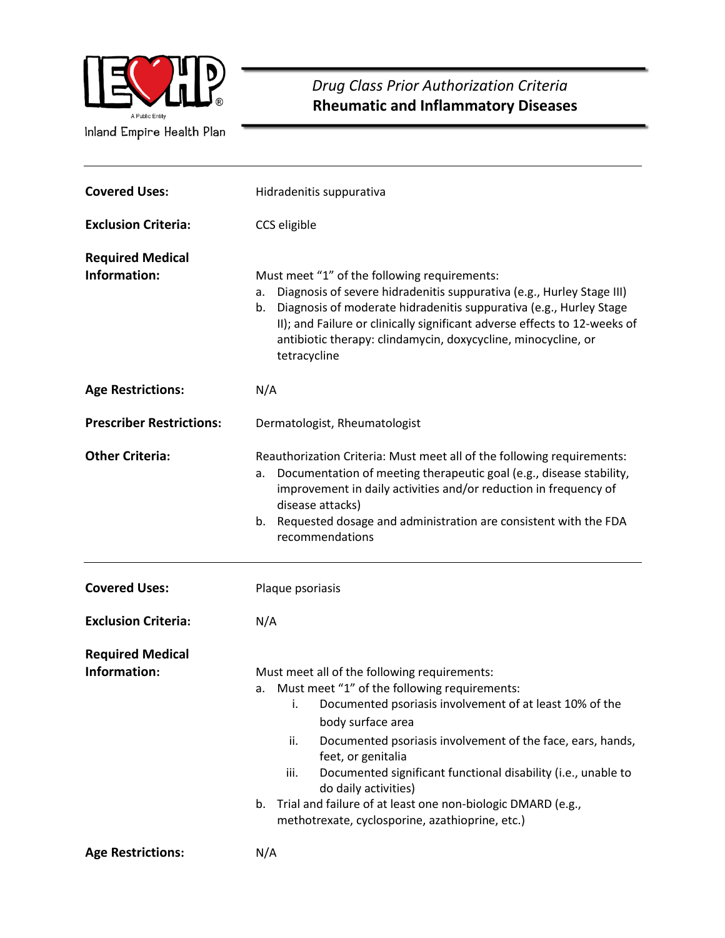

 *Drug Class Prior Authorization Criteria* **Rheumatic and Inflammatory Diseases** 

| <b>Covered Uses:</b>                    | Hidradenitis suppurativa                                                                                                                                                                                                                                                                                                                                                                                                                                                                               |  |  |
|-----------------------------------------|--------------------------------------------------------------------------------------------------------------------------------------------------------------------------------------------------------------------------------------------------------------------------------------------------------------------------------------------------------------------------------------------------------------------------------------------------------------------------------------------------------|--|--|
| <b>Exclusion Criteria:</b>              | CCS eligible                                                                                                                                                                                                                                                                                                                                                                                                                                                                                           |  |  |
| <b>Required Medical</b><br>Information: | Must meet "1" of the following requirements:<br>Diagnosis of severe hidradenitis suppurativa (e.g., Hurley Stage III)<br>a.<br>Diagnosis of moderate hidradenitis suppurativa (e.g., Hurley Stage<br>b.<br>II); and Failure or clinically significant adverse effects to 12-weeks of<br>antibiotic therapy: clindamycin, doxycycline, minocycline, or<br>tetracycline                                                                                                                                  |  |  |
| <b>Age Restrictions:</b>                | N/A                                                                                                                                                                                                                                                                                                                                                                                                                                                                                                    |  |  |
| <b>Prescriber Restrictions:</b>         | Dermatologist, Rheumatologist                                                                                                                                                                                                                                                                                                                                                                                                                                                                          |  |  |
| <b>Other Criteria:</b>                  | Reauthorization Criteria: Must meet all of the following requirements:<br>Documentation of meeting therapeutic goal (e.g., disease stability,<br>а.<br>improvement in daily activities and/or reduction in frequency of<br>disease attacks)<br>Requested dosage and administration are consistent with the FDA<br>b.<br>recommendations                                                                                                                                                                |  |  |
| <b>Covered Uses:</b>                    | Plaque psoriasis                                                                                                                                                                                                                                                                                                                                                                                                                                                                                       |  |  |
| <b>Exclusion Criteria:</b>              | N/A                                                                                                                                                                                                                                                                                                                                                                                                                                                                                                    |  |  |
| <b>Required Medical</b><br>Information: | Must meet all of the following requirements:<br>a. Must meet "1" of the following requirements:<br>i. Documented psoriasis involvement of at least 10% of the<br>body surface area<br>ii.<br>Documented psoriasis involvement of the face, ears, hands,<br>feet, or genitalia<br>Documented significant functional disability (i.e., unable to<br>iii.<br>do daily activities)<br>Trial and failure of at least one non-biologic DMARD (e.g.,<br>b.<br>methotrexate, cyclosporine, azathioprine, etc.) |  |  |
| <b>Age Restrictions:</b>                | N/A                                                                                                                                                                                                                                                                                                                                                                                                                                                                                                    |  |  |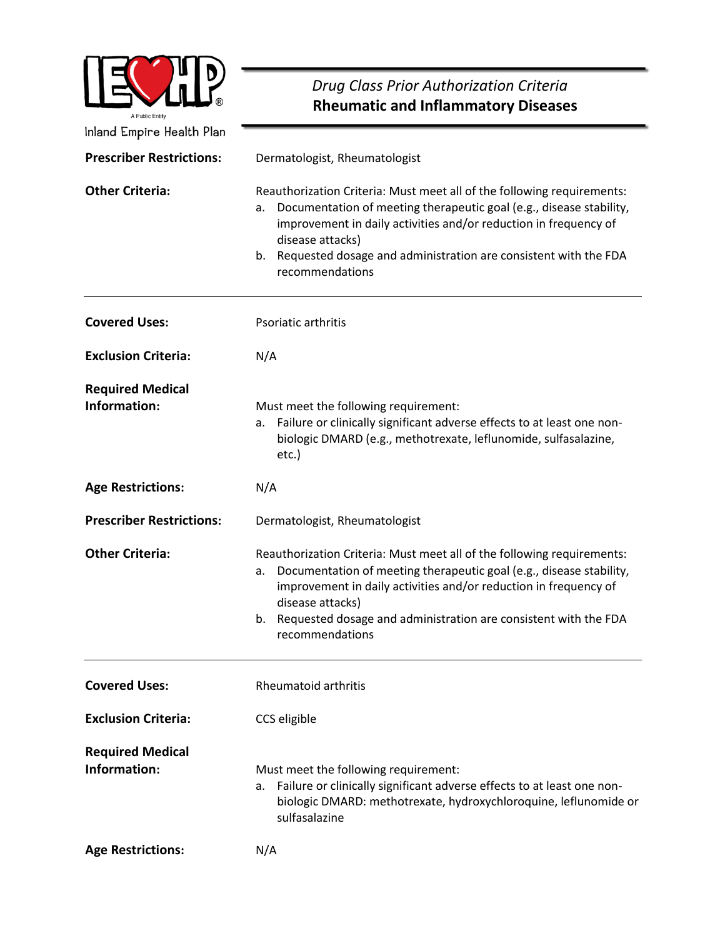|                                                              | Drug Class Prior Authorization Criteria                                                                                                                                                                                                                                                                                                 |  |  |  |
|--------------------------------------------------------------|-----------------------------------------------------------------------------------------------------------------------------------------------------------------------------------------------------------------------------------------------------------------------------------------------------------------------------------------|--|--|--|
| A Public Entity                                              | <b>Rheumatic and Inflammatory Diseases</b>                                                                                                                                                                                                                                                                                              |  |  |  |
| Inland Empire Health Plan<br><b>Prescriber Restrictions:</b> | Dermatologist, Rheumatologist                                                                                                                                                                                                                                                                                                           |  |  |  |
| <b>Other Criteria:</b>                                       | Reauthorization Criteria: Must meet all of the following requirements:<br>Documentation of meeting therapeutic goal (e.g., disease stability,<br>а.<br>improvement in daily activities and/or reduction in frequency of<br>disease attacks)<br>Requested dosage and administration are consistent with the FDA<br>b.<br>recommendations |  |  |  |
| <b>Covered Uses:</b>                                         | Psoriatic arthritis                                                                                                                                                                                                                                                                                                                     |  |  |  |
| <b>Exclusion Criteria:</b>                                   | N/A                                                                                                                                                                                                                                                                                                                                     |  |  |  |
| <b>Required Medical</b><br>Information:                      | Must meet the following requirement:<br>Failure or clinically significant adverse effects to at least one non-<br>а.<br>biologic DMARD (e.g., methotrexate, leflunomide, sulfasalazine,<br>etc.)                                                                                                                                        |  |  |  |
| <b>Age Restrictions:</b>                                     | N/A                                                                                                                                                                                                                                                                                                                                     |  |  |  |
| <b>Prescriber Restrictions:</b>                              | Dermatologist, Rheumatologist                                                                                                                                                                                                                                                                                                           |  |  |  |
| <b>Other Criteria:</b>                                       | Reauthorization Criteria: Must meet all of the following requirements:<br>a. Documentation of meeting therapeutic goal (e.g., disease stability,<br>improvement in daily activities and/or reduction in frequency of<br>disease attacks)<br>b. Requested dosage and administration are consistent with the FDA<br>recommendations       |  |  |  |
| <b>Covered Uses:</b>                                         | Rheumatoid arthritis                                                                                                                                                                                                                                                                                                                    |  |  |  |
| <b>Exclusion Criteria:</b>                                   | CCS eligible                                                                                                                                                                                                                                                                                                                            |  |  |  |
| <b>Required Medical</b><br>Information:                      | Must meet the following requirement:<br>a. Failure or clinically significant adverse effects to at least one non-<br>biologic DMARD: methotrexate, hydroxychloroquine, leflunomide or<br>sulfasalazine                                                                                                                                  |  |  |  |
| <b>Age Restrictions:</b>                                     | N/A                                                                                                                                                                                                                                                                                                                                     |  |  |  |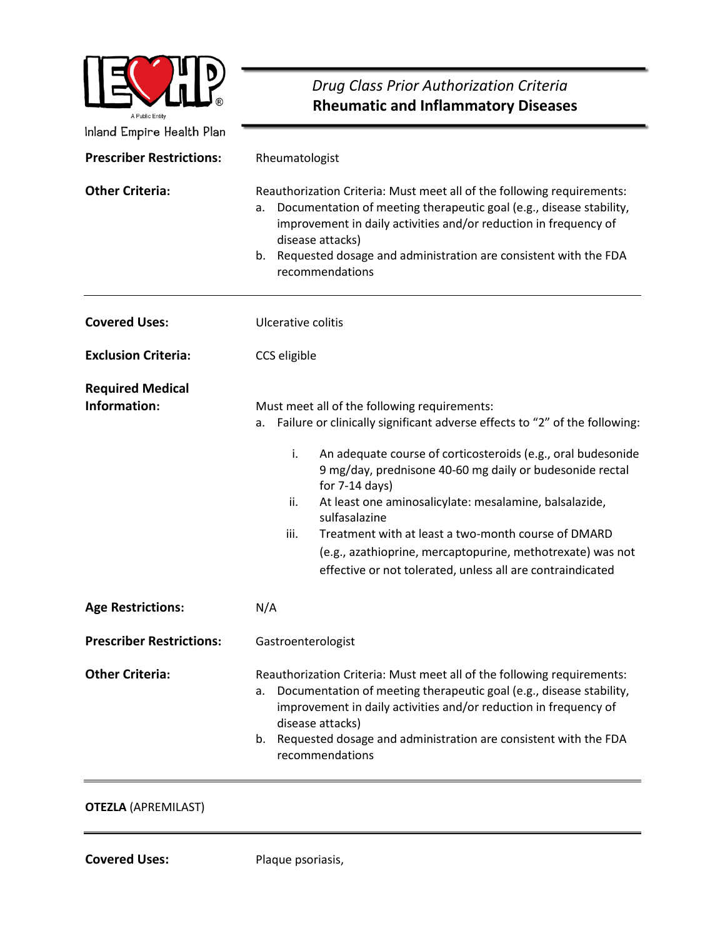| A Public Entity                         | Drug Class Prior Authorization Criteria<br><b>Rheumatic and Inflammatory Diseases</b>                                                                                                                                                                                                                                                                                                                                                                                                                                                                               |  |  |
|-----------------------------------------|---------------------------------------------------------------------------------------------------------------------------------------------------------------------------------------------------------------------------------------------------------------------------------------------------------------------------------------------------------------------------------------------------------------------------------------------------------------------------------------------------------------------------------------------------------------------|--|--|
| Inland Empire Health Plan               |                                                                                                                                                                                                                                                                                                                                                                                                                                                                                                                                                                     |  |  |
| <b>Prescriber Restrictions:</b>         | Rheumatologist                                                                                                                                                                                                                                                                                                                                                                                                                                                                                                                                                      |  |  |
| <b>Other Criteria:</b>                  | Reauthorization Criteria: Must meet all of the following requirements:<br>Documentation of meeting therapeutic goal (e.g., disease stability,<br>a.<br>improvement in daily activities and/or reduction in frequency of<br>disease attacks)<br>b.<br>Requested dosage and administration are consistent with the FDA<br>recommendations                                                                                                                                                                                                                             |  |  |
| <b>Covered Uses:</b>                    | Ulcerative colitis                                                                                                                                                                                                                                                                                                                                                                                                                                                                                                                                                  |  |  |
| <b>Exclusion Criteria:</b>              | CCS eligible                                                                                                                                                                                                                                                                                                                                                                                                                                                                                                                                                        |  |  |
| <b>Required Medical</b><br>Information: | Must meet all of the following requirements:<br>Failure or clinically significant adverse effects to "2" of the following:<br>а.<br>i.<br>An adequate course of corticosteroids (e.g., oral budesonide<br>9 mg/day, prednisone 40-60 mg daily or budesonide rectal<br>for $7-14$ days)<br>ii.<br>At least one aminosalicylate: mesalamine, balsalazide,<br>sulfasalazine<br>iii.<br>Treatment with at least a two-month course of DMARD<br>(e.g., azathioprine, mercaptopurine, methotrexate) was not<br>effective or not tolerated, unless all are contraindicated |  |  |
| <b>Age Restrictions:</b>                | N/A                                                                                                                                                                                                                                                                                                                                                                                                                                                                                                                                                                 |  |  |
| <b>Prescriber Restrictions:</b>         | Gastroenterologist                                                                                                                                                                                                                                                                                                                                                                                                                                                                                                                                                  |  |  |
| <b>Other Criteria:</b>                  | Reauthorization Criteria: Must meet all of the following requirements:<br>Documentation of meeting therapeutic goal (e.g., disease stability,<br>a.<br>improvement in daily activities and/or reduction in frequency of<br>disease attacks)<br>b. Requested dosage and administration are consistent with the FDA<br>recommendations                                                                                                                                                                                                                                |  |  |

## **OTEZLA** (APREMILAST)

**Covered Uses:** Plaque psoriasis,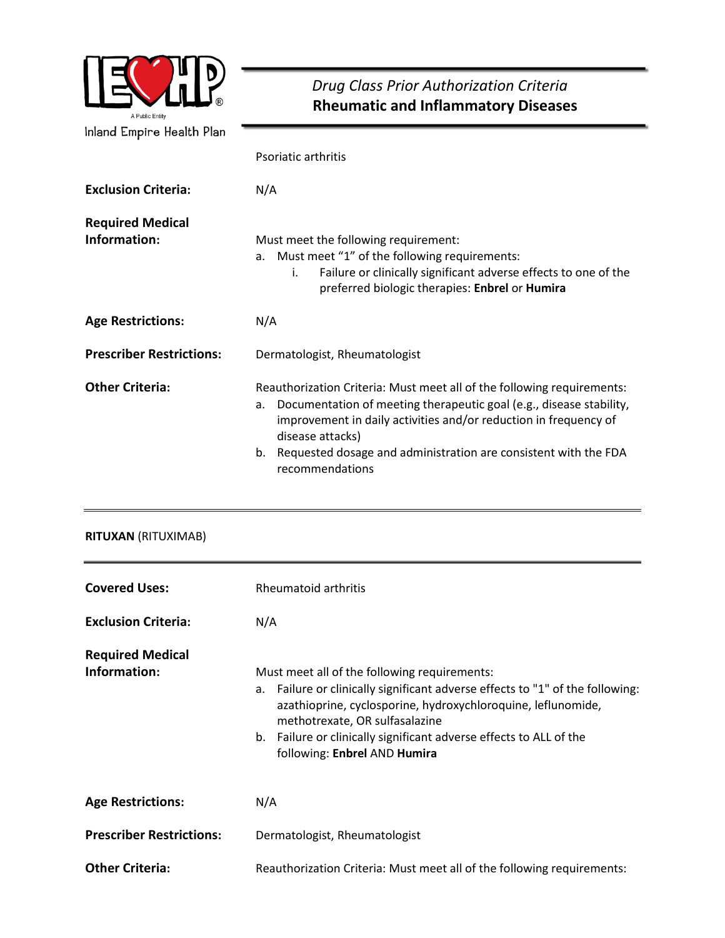

# *Drug Class Prior Authorization Criteria* **Rheumatic and Inflammatory Diseases**

|                                         | Psoriatic arthritis                                                                                                                                                                                                                                                                                                                     |
|-----------------------------------------|-----------------------------------------------------------------------------------------------------------------------------------------------------------------------------------------------------------------------------------------------------------------------------------------------------------------------------------------|
| <b>Exclusion Criteria:</b>              | N/A                                                                                                                                                                                                                                                                                                                                     |
| <b>Required Medical</b><br>Information: | Must meet the following requirement:<br>a. Must meet "1" of the following requirements:<br>Failure or clinically significant adverse effects to one of the<br>i.<br>preferred biologic therapies: Enbrel or Humira                                                                                                                      |
| <b>Age Restrictions:</b>                | N/A                                                                                                                                                                                                                                                                                                                                     |
| <b>Prescriber Restrictions:</b>         | Dermatologist, Rheumatologist                                                                                                                                                                                                                                                                                                           |
| <b>Other Criteria:</b>                  | Reauthorization Criteria: Must meet all of the following requirements:<br>Documentation of meeting therapeutic goal (e.g., disease stability,<br>a.<br>improvement in daily activities and/or reduction in frequency of<br>disease attacks)<br>Requested dosage and administration are consistent with the FDA<br>b.<br>recommendations |

### **RITUXAN** (RITUXIMAB)

| <b>Covered Uses:</b>                    | Rheumatoid arthritis                                                                                                                                                                                                                                                                                                                  |  |  |
|-----------------------------------------|---------------------------------------------------------------------------------------------------------------------------------------------------------------------------------------------------------------------------------------------------------------------------------------------------------------------------------------|--|--|
| <b>Exclusion Criteria:</b>              | N/A                                                                                                                                                                                                                                                                                                                                   |  |  |
| <b>Required Medical</b><br>Information: | Must meet all of the following requirements:<br>a. Failure or clinically significant adverse effects to "1" of the following:<br>azathioprine, cyclosporine, hydroxychloroquine, leflunomide,<br>methotrexate, OR sulfasalazine<br>b. Failure or clinically significant adverse effects to ALL of the<br>following: Enbrel AND Humira |  |  |
| <b>Age Restrictions:</b>                | N/A                                                                                                                                                                                                                                                                                                                                   |  |  |
| <b>Prescriber Restrictions:</b>         | Dermatologist, Rheumatologist                                                                                                                                                                                                                                                                                                         |  |  |
| <b>Other Criteria:</b>                  | Reauthorization Criteria: Must meet all of the following requirements:                                                                                                                                                                                                                                                                |  |  |